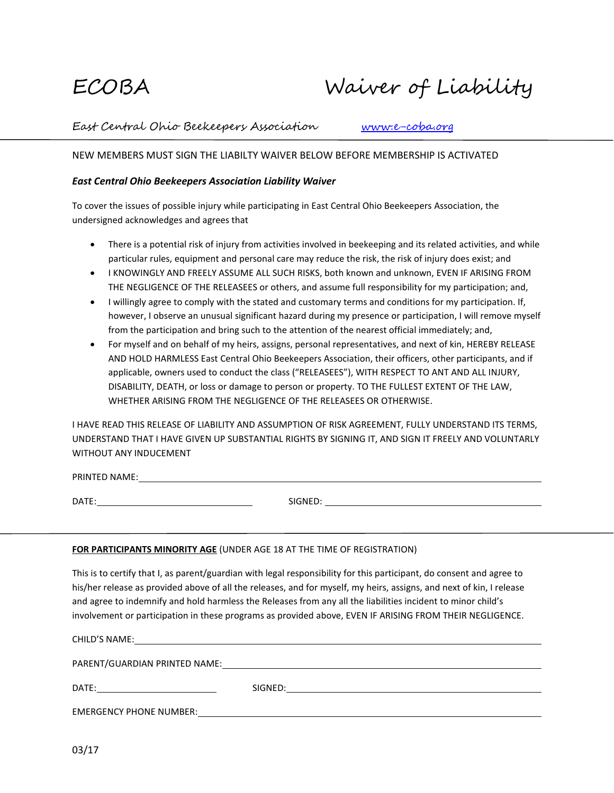# ECOBA Waiver of Liability

East Central Ohio Beekeepers Association [www.e-coba.org](http://www.e-coba.org/)

## NEW MEMBERS MUST SIGN THE LIABILTY WAIVER BELOW BEFORE MEMBERSHIP IS ACTIVATED

## *East Central Ohio Beekeepers Association Liability Waiver*

To cover the issues of possible injury while participating in East Central Ohio Beekeepers Association, the undersigned acknowledges and agrees that

- There is a potential risk of injury from activities involved in beekeeping and its related activities, and while particular rules, equipment and personal care may reduce the risk, the risk of injury does exist; and
- I KNOWINGLY AND FREELY ASSUME ALL SUCH RISKS, both known and unknown, EVEN IF ARISING FROM THE NEGLIGENCE OF THE RELEASEES or others, and assume full responsibility for my participation; and,
- I willingly agree to comply with the stated and customary terms and conditions for my participation. If, however, I observe an unusual significant hazard during my presence or participation, I will remove myself from the participation and bring such to the attention of the nearest official immediately; and,
- For myself and on behalf of my heirs, assigns, personal representatives, and next of kin, HEREBY RELEASE AND HOLD HARMLESS East Central Ohio Beekeepers Association, their officers, other participants, and if applicable, owners used to conduct the class ("RELEASEES"), WITH RESPECT TO ANT AND ALL INJURY, DISABILITY, DEATH, or loss or damage to person or property. TO THE FULLEST EXTENT OF THE LAW, WHETHER ARISING FROM THE NEGLIGENCE OF THE RELEASEES OR OTHERWISE.

I HAVE READ THIS RELEASE OF LIABILITY AND ASSUMPTION OF RISK AGREEMENT, FULLY UNDERSTAND ITS TERMS, UNDERSTAND THAT I HAVE GIVEN UP SUBSTANTIAL RIGHTS BY SIGNING IT, AND SIGN IT FREELY AND VOLUNTARLY WITHOUT ANY INDUCEMENT

PRINTED NAME: www.astronometer.com/www.astronometer.com/www.astronometer.com/www.astronometer.com/www.astronom

DATE: SIGNED:

## **FOR PARTICIPANTS MINORITY AGE** (UNDER AGE 18 AT THE TIME OF REGISTRATION)

This is to certify that I, as parent/guardian with legal responsibility for this participant, do consent and agree to his/her release as provided above of all the releases, and for myself, my heirs, assigns, and next of kin, I release and agree to indemnify and hold harmless the Releases from any all the liabilities incident to minor child's involvement or participation in these programs as provided above, EVEN IF ARISING FROM THEIR NEGLIGENCE.

CHILD'S NAME:

PARENT/GUARDIAN PRINTED NAME:

DATE: SIGNED: SIGNED: SIGNED: SIGNED: SIGNED: SIGNED: SIGNED: SIGNED: SIGNED: SIGNED: SIGNED: SIGNED: SIGNED: SIGNED: SIGNED: SIGNED: SIGNED: SIGNED: SIGNED: SIGNED: SIGNED: SIGNED: SIGNED: SIGNED: SIGNED: SIGNED: SIGNED:

EMERGENCY PHONE NUMBER: